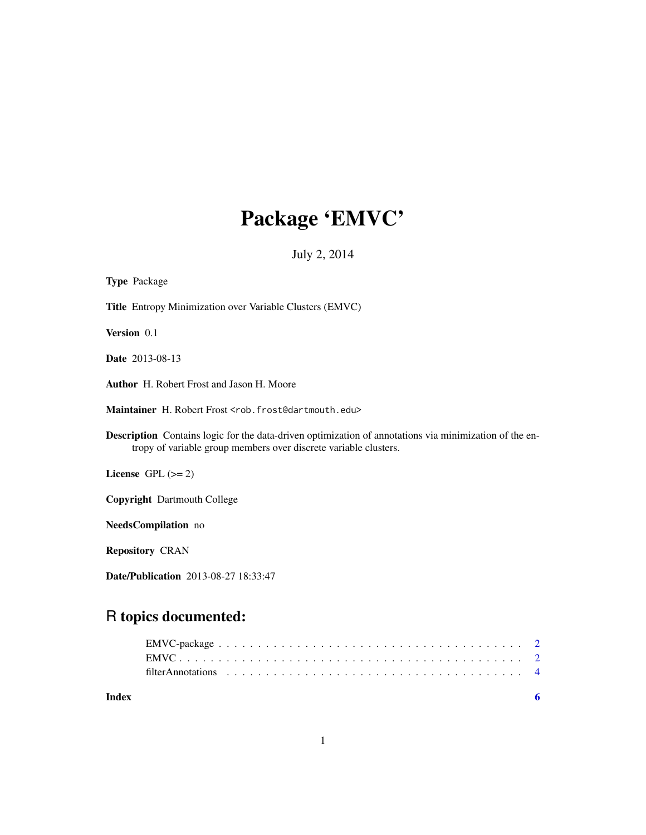# Package 'EMVC'

July 2, 2014

| <b>Type Package</b>                                                                                                                                                               |
|-----------------------------------------------------------------------------------------------------------------------------------------------------------------------------------|
| Title Entropy Minimization over Variable Clusters (EMVC)                                                                                                                          |
| Version 0.1                                                                                                                                                                       |
| <b>Date</b> 2013-08-13                                                                                                                                                            |
| <b>Author</b> H. Robert Frost and Jason H. Moore                                                                                                                                  |
| Maintainer H. Robert Frost <rob. frost@dartmouth.edu=""></rob.>                                                                                                                   |
| <b>Description</b> Contains logic for the data-driven optimization of annotations via minimization of the en-<br>tropy of variable group members over discrete variable clusters. |
| License GPL $(>= 2)$                                                                                                                                                              |
| <b>Copyright</b> Dartmouth College                                                                                                                                                |
| NeedsCompilation no                                                                                                                                                               |
| <b>Repository CRAN</b>                                                                                                                                                            |
| <b>Date/Publication</b> 2013-08-27 18:33:47                                                                                                                                       |

# R topics documented:

| Index |                                                                                                                 |  |
|-------|-----------------------------------------------------------------------------------------------------------------|--|
|       | filter Annotations $\ldots \ldots \ldots \ldots \ldots \ldots \ldots \ldots \ldots \ldots \ldots \ldots \ldots$ |  |
|       |                                                                                                                 |  |
|       |                                                                                                                 |  |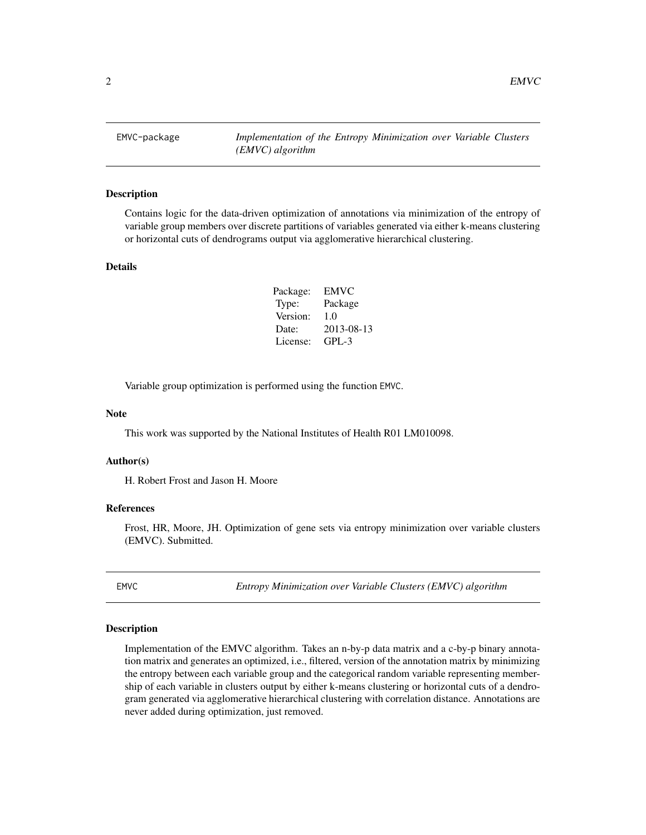<span id="page-1-0"></span>EMVC-package *Implementation of the Entropy Minimization over Variable Clusters (EMVC) algorithm*

### Description

Contains logic for the data-driven optimization of annotations via minimization of the entropy of variable group members over discrete partitions of variables generated via either k-means clustering or horizontal cuts of dendrograms output via agglomerative hierarchical clustering.

#### Details

| Package: | EMVC       |
|----------|------------|
| Type:    | Package    |
| Version: | 1.0        |
| Date:    | 2013-08-13 |
| License: | GPL-3      |

Variable group optimization is performed using the function EMVC.

#### Note

This work was supported by the National Institutes of Health R01 LM010098.

#### Author(s)

H. Robert Frost and Jason H. Moore

### References

Frost, HR, Moore, JH. Optimization of gene sets via entropy minimization over variable clusters (EMVC). Submitted.

<span id="page-1-1"></span>EMVC *Entropy Minimization over Variable Clusters (EMVC) algorithm*

### Description

Implementation of the EMVC algorithm. Takes an n-by-p data matrix and a c-by-p binary annotation matrix and generates an optimized, i.e., filtered, version of the annotation matrix by minimizing the entropy between each variable group and the categorical random variable representing membership of each variable in clusters output by either k-means clustering or horizontal cuts of a dendrogram generated via agglomerative hierarchical clustering with correlation distance. Annotations are never added during optimization, just removed.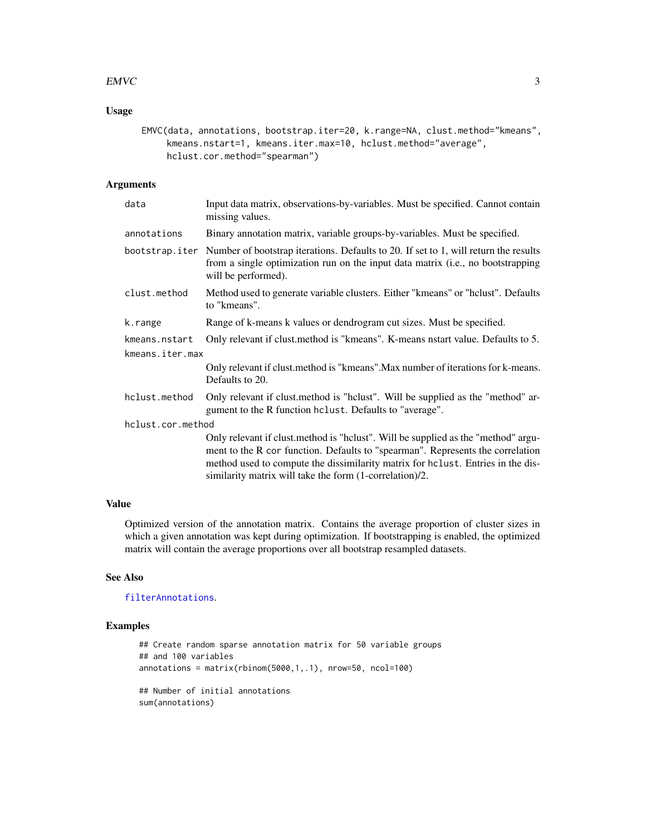# <span id="page-2-0"></span> $EWC$  3

# Usage

```
EMVC(data, annotations, bootstrap.iter=20, k.range=NA, clust.method="kmeans",
    kmeans.nstart=1, kmeans.iter.max=10, hclust.method="average",
    hclust.cor.method="spearman")
```
# Arguments

| data              | Input data matrix, observations-by-variables. Must be specified. Cannot contain<br>missing values.                                                                                                                                                                                                                |
|-------------------|-------------------------------------------------------------------------------------------------------------------------------------------------------------------------------------------------------------------------------------------------------------------------------------------------------------------|
| annotations       | Binary annotation matrix, variable groups-by-variables. Must be specified.                                                                                                                                                                                                                                        |
| bootstrap.iter    | Number of bootstrap iterations. Defaults to 20. If set to 1, will return the results<br>from a single optimization run on the input data matrix (i.e., no bootstrapping<br>will be performed).                                                                                                                    |
| clust.method      | Method used to generate variable clusters. Either "kmeans" or "hclust". Defaults<br>to "kmeans".                                                                                                                                                                                                                  |
| k.range           | Range of k-means k values or dendrogram cut sizes. Must be specified.                                                                                                                                                                                                                                             |
| kmeans.nstart     | Only relevant if clust method is "kmeans". K-means natart value. Defaults to 5.                                                                                                                                                                                                                                   |
| kmeans.iter.max   |                                                                                                                                                                                                                                                                                                                   |
|                   | Only relevant if clust method is "kmeans". Max number of iterations for k-means.<br>Defaults to 20.                                                                                                                                                                                                               |
| hclust.method     | Only relevant if clust.method is "hclust". Will be supplied as the "method" ar-<br>gument to the R function holast. Defaults to "average".                                                                                                                                                                        |
| hclust.cor.method |                                                                                                                                                                                                                                                                                                                   |
|                   | Only relevant if clust.method is "hclust". Will be supplied as the "method" argu-<br>ment to the R cor function. Defaults to "spearman". Represents the correlation<br>method used to compute the dissimilarity matrix for holust. Entries in the dis-<br>similarity matrix will take the form (1-correlation)/2. |

# Value

Optimized version of the annotation matrix. Contains the average proportion of cluster sizes in which a given annotation was kept during optimization. If bootstrapping is enabled, the optimized matrix will contain the average proportions over all bootstrap resampled datasets.

# See Also

[filterAnnotations](#page-3-1).

# Examples

```
## Create random sparse annotation matrix for 50 variable groups
## and 100 variables
annotations = matrix(rbinom(5000,1,.1), nrow=50, ncol=100)
## Number of initial annotations
sum(annotations)
```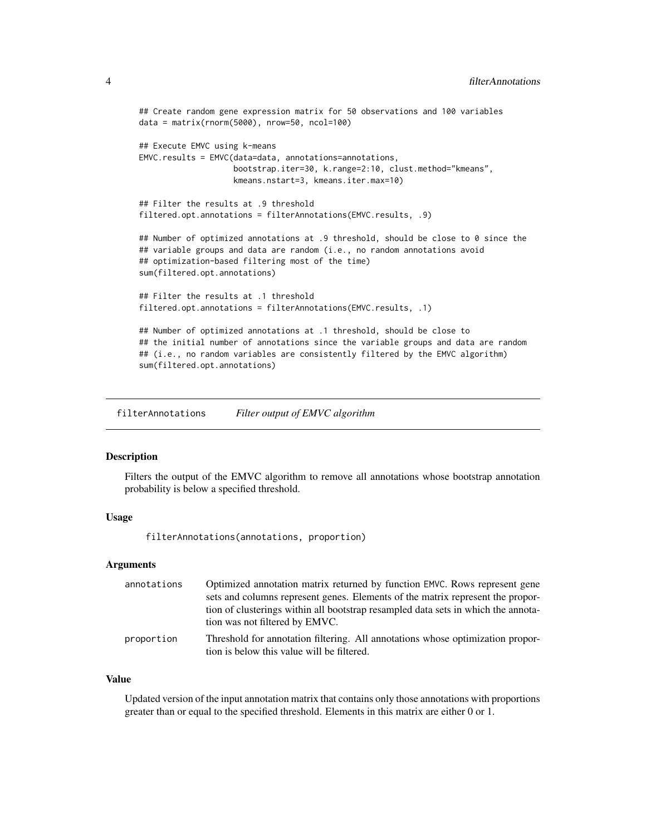```
## Create random gene expression matrix for 50 observations and 100 variables
data = matrix(rnorm(5000), nrow=50, ncol=100)
## Execute EMVC using k-means
EMVC.results = EMVC(data=data, annotations=annotations,
                    bootstrap.iter=30, k.range=2:10, clust.method="kmeans",
                    kmeans.nstart=3, kmeans.iter.max=10)
## Filter the results at .9 threshold
filtered.opt.annotations = filterAnnotations(EMVC.results, .9)
## Number of optimized annotations at .9 threshold, should be close to 0 since the
## variable groups and data are random (i.e., no random annotations avoid
## optimization-based filtering most of the time)
sum(filtered.opt.annotations)
## Filter the results at .1 threshold
filtered.opt.annotations = filterAnnotations(EMVC.results, .1)
## Number of optimized annotations at .1 threshold, should be close to
## the initial number of annotations since the variable groups and data are random
## (i.e., no random variables are consistently filtered by the EMVC algorithm)
sum(filtered.opt.annotations)
```
<span id="page-3-1"></span>filterAnnotations *Filter output of EMVC algorithm*

#### Description

Filters the output of the EMVC algorithm to remove all annotations whose bootstrap annotation probability is below a specified threshold.

# Usage

filterAnnotations(annotations, proportion)

#### Arguments

| annotations | Optimized annotation matrix returned by function EMVC. Rows represent gene                                                   |
|-------------|------------------------------------------------------------------------------------------------------------------------------|
|             | sets and columns represent genes. Elements of the matrix represent the propor-                                               |
|             | tion of clusterings within all bootstrap resampled data sets in which the annota-                                            |
|             | tion was not filtered by EMVC.                                                                                               |
| proportion  | Threshold for annotation filtering. All annotations whose optimization propor-<br>tion is below this value will be filtered. |

### Value

Updated version of the input annotation matrix that contains only those annotations with proportions greater than or equal to the specified threshold. Elements in this matrix are either 0 or 1.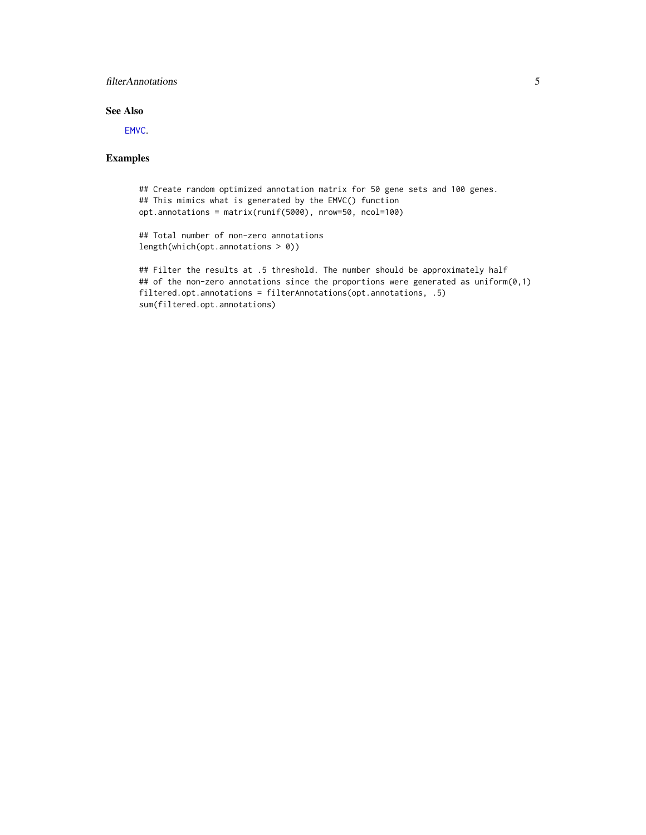# <span id="page-4-0"></span>filterAnnotations 5

# See Also

[EMVC](#page-1-1).

# Examples

```
## Create random optimized annotation matrix for 50 gene sets and 100 genes.
## This mimics what is generated by the EMVC() function
opt.annotations = matrix(runif(5000), nrow=50, ncol=100)
## Total number of non-zero annotations
length(which(opt.annotations > 0))
```

```
## Filter the results at .5 threshold. The number should be approximately half
## of the non-zero annotations since the proportions were generated as uniform(0,1)
filtered.opt.annotations = filterAnnotations(opt.annotations, .5)
sum(filtered.opt.annotations)
```